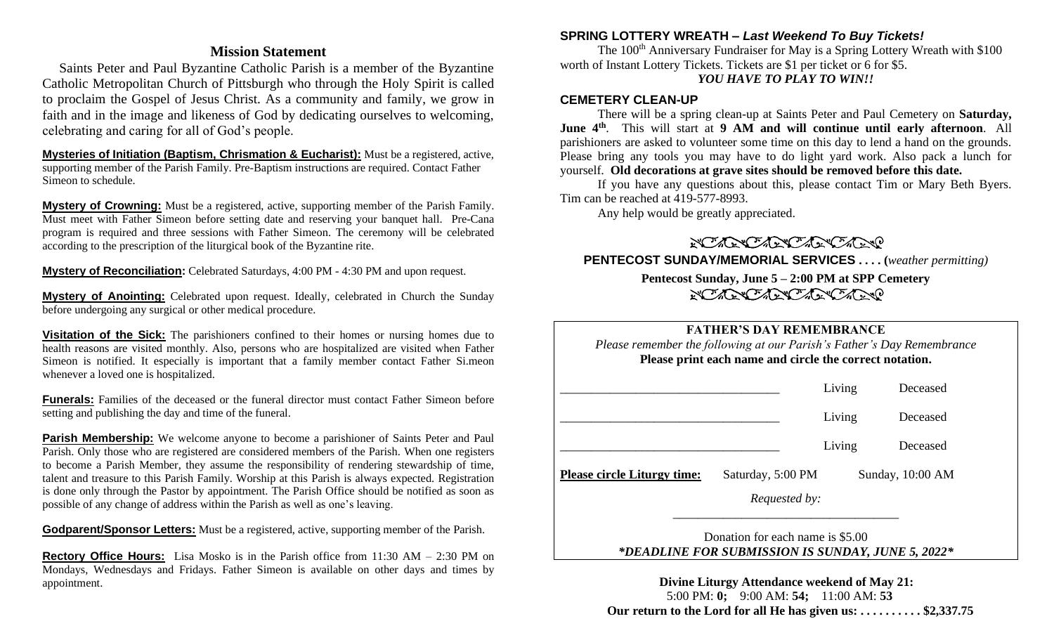# **Mission Statement**

 Saints Peter and Paul Byzantine Catholic Parish is a member of the Byzantine Catholic Metropolitan Church of Pittsburgh who through the Holy Spirit is called to proclaim the Gospel of Jesus Christ. As a community and family, we grow in faith and in the image and likeness of God by dedicating ourselves to welcoming, celebrating and caring for all of God's people.

**Mysteries of Initiation (Baptism, Chrismation & Eucharist):** Must be a registered, active, supporting member of the Parish Family. Pre-Baptism instructions are required. Contact Father Simeon to schedule.

**Mystery of Crowning:** Must be a registered, active, supporting member of the Parish Family. Must meet with Father Simeon before setting date and reserving your banquet hall. Pre-Cana program is required and three sessions with Father Simeon. The ceremony will be celebrated according to the prescription of the liturgical book of the Byzantine rite.

**Mystery of Reconciliation:** Celebrated Saturdays, 4:00 PM - 4:30 PM and upon request.

**Mystery of Anointing:** Celebrated upon request. Ideally, celebrated in Church the Sunday before undergoing any surgical or other medical procedure.

**Visitation of the Sick:** The parishioners confined to their homes or nursing homes due to health reasons are visited monthly. Also, persons who are hospitalized are visited when Father Simeon is notified. It especially is important that a family member contact Father Si.meon whenever a loved one is hospitalized.

**Funerals:** Families of the deceased or the funeral director must contact Father Simeon before setting and publishing the day and time of the funeral.

**Parish Membership:** We welcome anyone to become a parishioner of Saints Peter and Paul Parish. Only those who are registered are considered members of the Parish. When one registers to become a Parish Member, they assume the responsibility of rendering stewardship of time, talent and treasure to this Parish Family. Worship at this Parish is always expected. Registration is done only through the Pastor by appointment. The Parish Office should be notified as soon as possible of any change of address within the Parish as well as one's leaving.

**Godparent/Sponsor Letters:** Must be a registered, active, supporting member of the Parish.

**Rectory Office Hours:** Lisa Mosko is in the Parish office from 11:30 AM – 2:30 PM on Mondays, Wednesdays and Fridays. Father Simeon is available on other days and times by appointment.

### **SPRING LOTTERY WREATH –** *Last Weekend To Buy Tickets!*

The 100<sup>th</sup> Anniversary Fundraiser for May is a Spring Lottery Wreath with \$100 worth of Instant Lottery Tickets. Tickets are \$1 per ticket or 6 for \$5. *YOU HAVE TO PLAY TO WIN!!*

#### **CEMETERY CLEAN-UP**

There will be a spring clean-up at Saints Peter and Paul Cemetery on **Saturday, June 4th**. This will start at **9 AM and will continue until early afternoon**. All parishioners are asked to volunteer some time on this day to lend a hand on the grounds. Please bring any tools you may have to do light yard work. Also pack a lunch for yourself. **Old decorations at grave sites should be removed before this date.** 

If you have any questions about this, please contact Tim or Mary Beth Byers. Tim can be reached at 419-577-8993.

Any help would be greatly appreciated.

NO ACTENCACIÓN DE

**PENTECOST SUNDAY/MEMORIAL SERVICES . . . . (***weather permitting)*

# **Pentecost Sunday, June 5 – 2:00 PM at SPP Cemetery** NO ACTENCACIÓN DE

# **FATHER'S DAY REMEMBRANCE**

*Please remember the following at our Parish's Father's Day Remembrance* **Please print each name and circle the correct notation.**

|                                    |                      | Living | Deceased         |
|------------------------------------|----------------------|--------|------------------|
|                                    |                      | Living | Deceased         |
|                                    |                      | Living | Deceased         |
| <b>Please circle Liturgy time:</b> | Saturday, 5:00 PM    |        | Sunday, 10:00 AM |
|                                    | <i>Requested by:</i> |        |                  |

Donation for each name is \$5.00 *\*DEADLINE FOR SUBMISSION IS SUNDAY, JUNE 5, 2022\**

**Divine Liturgy Attendance weekend of May 21:** 5:00 PM: **0;** 9:00 AM: **54;** 11:00 AM: **53 Our return to the Lord for all He has given us: . . . . . . . . . . \$2,337.75**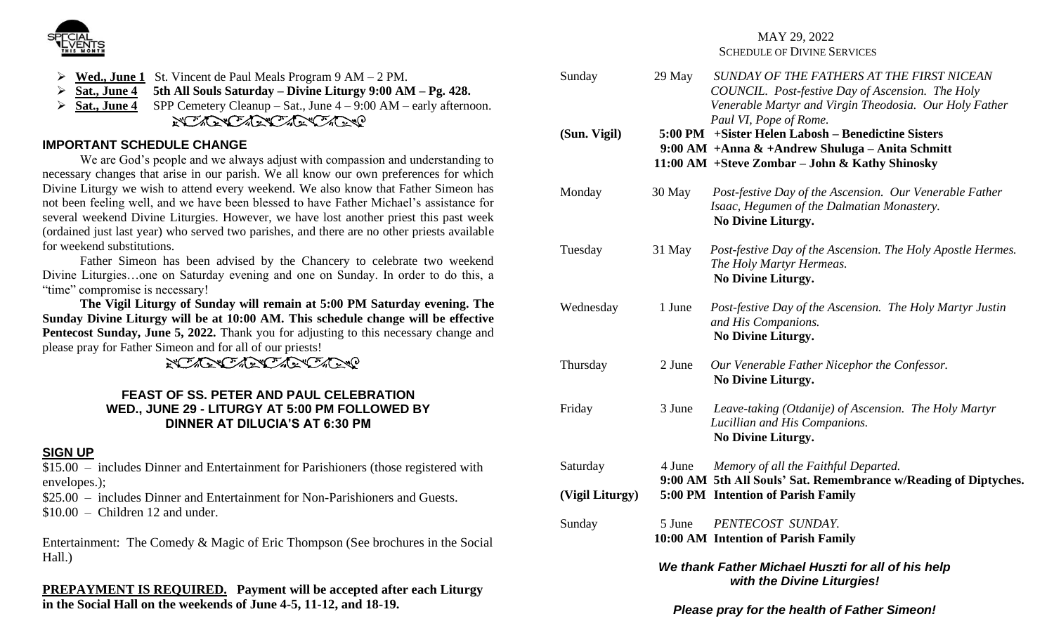

- ➢ **Wed., June 1** St. Vincent de Paul Meals Program 9 AM 2 PM.
- ➢ **Sat., June 4 5th All Souls Saturday – Divine Liturgy 9:00 AM – Pg. 428.**
- ➢ **Sat., June 4** SPP Cemetery Cleanup Sat., June 4 9:00 AM early afternoon.

NO ACTENDADE CARDO

# **IMPORTANT SCHEDULE CHANGE**

We are God's people and we always adjust with compassion and understanding to necessary changes that arise in our parish. We all know our own preferences for which Divine Liturgy we wish to attend every weekend. We also know that Father Simeon has not been feeling well, and we have been blessed to have Father Michael's assistance for several weekend Divine Liturgies. However, we have lost another priest this past week (ordained just last year) who served two parishes, and there are no other priests available for weekend substitutions.

Father Simeon has been advised by the Chancery to celebrate two weekend Divine Liturgies…one on Saturday evening and one on Sunday. In order to do this, a "time" compromise is necessary!

**The Vigil Liturgy of Sunday will remain at 5:00 PM Saturday evening. The Sunday Divine Liturgy will be at 10:00 AM. This schedule change will be effective Pentecost Sunday, June 5, 2022.** Thank you for adjusting to this necessary change and please pray for Father Simeon and for all of our priests!

NO ACTENCIAL CARNO

#### **FEAST OF SS. PETER AND PAUL CELEBRATION WED., JUNE 29 - LITURGY AT 5:00 PM FOLLOWED BY DINNER AT DILUCIA'S AT 6:30 PM**

## **SIGN UP**

\$15.00 – includes Dinner and Entertainment for Parishioners (those registered with envelopes.);

\$25.00 – includes Dinner and Entertainment for Non-Parishioners and Guests.  $$10.00 - Children 12$  and under.

Entertainment: The Comedy & Magic of Eric Thompson (See brochures in the Social Hall.)

**PREPAYMENT IS REQUIRED. Payment will be accepted after each Liturgy in the Social Hall on the weekends of June 4-5, 11-12, and 18-19.**

#### MAY 29, 2022 SCHEDULE OF DIVINE SERVICES

| Sunday          | 29 May | SUNDAY OF THE FATHERS AT THE FIRST NICEAN<br>COUNCIL. Post-festive Day of Ascension. The Holy<br>Venerable Martyr and Virgin Theodosia. Our Holy Father                               |
|-----------------|--------|---------------------------------------------------------------------------------------------------------------------------------------------------------------------------------------|
| (Sun. Vigil)    |        | Paul VI, Pope of Rome.<br>5:00 PM + Sister Helen Labosh – Benedictine Sisters<br>9:00 AM + Anna & + Andrew Shuluga – Anita Schmitt<br>11:00 AM + Steve Zombar – John & Kathy Shinosky |
| Monday          | 30 May | Post-festive Day of the Ascension. Our Venerable Father<br>Isaac, Hegumen of the Dalmatian Monastery.<br>No Divine Liturgy.                                                           |
| Tuesday         | 31 May | Post-festive Day of the Ascension. The Holy Apostle Hermes.<br>The Holy Martyr Hermeas.<br>No Divine Liturgy.                                                                         |
| Wednesday       | 1 June | Post-festive Day of the Ascension. The Holy Martyr Justin<br>and His Companions.<br>No Divine Liturgy.                                                                                |
| Thursday        | 2 June | Our Venerable Father Nicephor the Confessor.<br>No Divine Liturgy.                                                                                                                    |
| Friday          | 3 June | Leave-taking (Otdanije) of Ascension. The Holy Martyr<br>Lucillian and His Companions.<br>No Divine Liturgy.                                                                          |
| Saturday        | 4 June | Memory of all the Faithful Departed.                                                                                                                                                  |
| (Vigil Liturgy) |        | 9:00 AM 5th All Souls' Sat. Remembrance w/Reading of Diptyches.<br>5:00 PM Intention of Parish Family                                                                                 |
| Sunday          | 5 June | PENTECOST SUNDAY.<br>10:00 AM Intention of Parish Family                                                                                                                              |
|                 |        | We thank Father Michael Huszti for all of his help<br>with the Divine Liturgies!                                                                                                      |
|                 |        | Please pray for the health of Father Simeon!                                                                                                                                          |